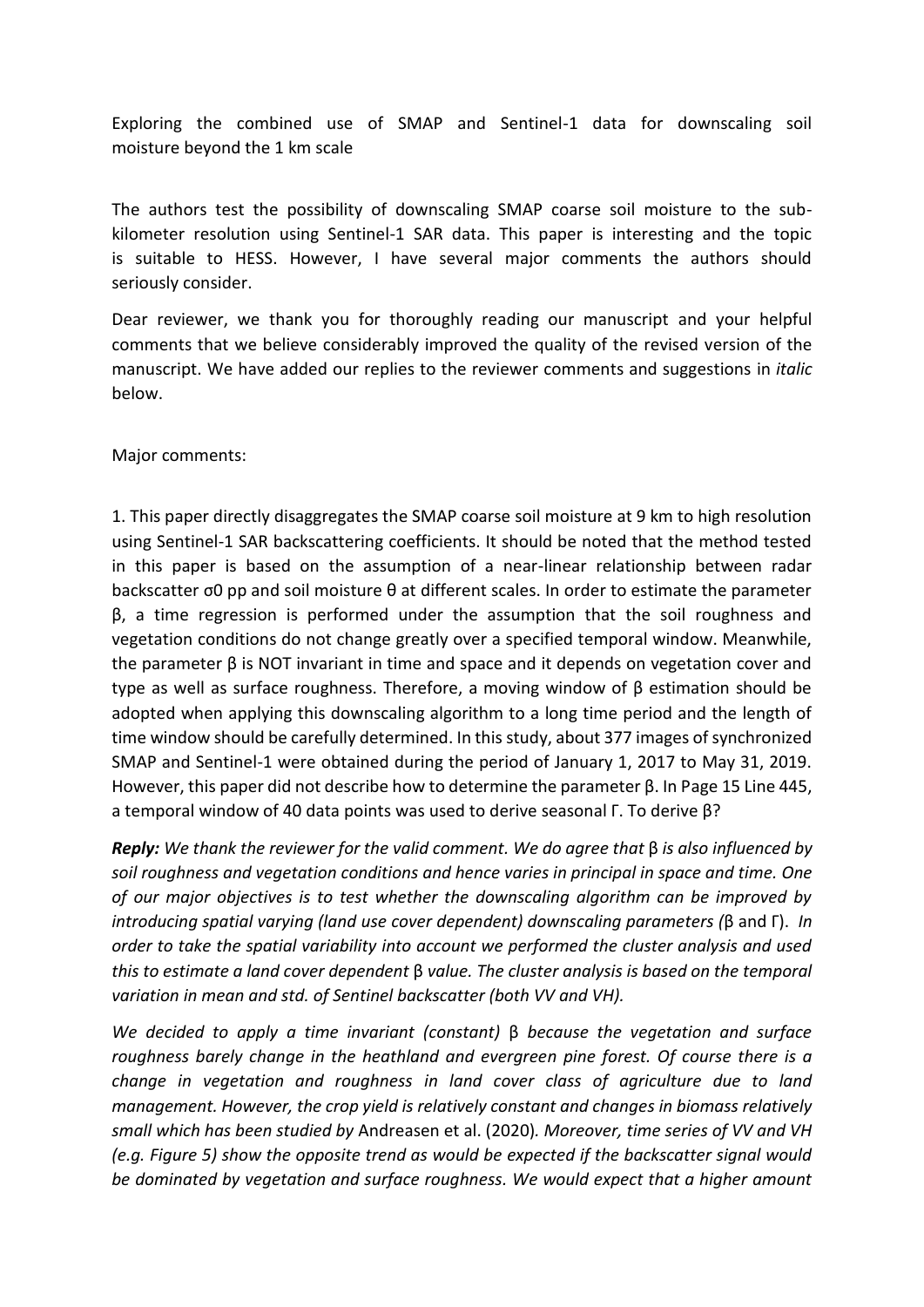Exploring the combined use of SMAP and Sentinel-1 data for downscaling soil moisture beyond the 1 km scale

The authors test the possibility of downscaling SMAP coarse soil moisture to the subkilometer resolution using Sentinel-1 SAR data. This paper is interesting and the topic is suitable to HESS. However, I have several major comments the authors should seriously consider.

Dear reviewer, we thank you for thoroughly reading our manuscript and your helpful comments that we believe considerably improved the quality of the revised version of the manuscript. We have added our replies to the reviewer comments and suggestions in *italic* below.

Major comments:

1. This paper directly disaggregates the SMAP coarse soil moisture at 9 km to high resolution using Sentinel-1 SAR backscattering coefficients. It should be noted that the method tested in this paper is based on the assumption of a near-linear relationship between radar backscatter σ0 pp and soil moisture θ at different scales. In order to estimate the parameter β, a time regression is performed under the assumption that the soil roughness and vegetation conditions do not change greatly over a specified temporal window. Meanwhile, the parameter β is NOT invariant in time and space and it depends on vegetation cover and type as well as surface roughness. Therefore, a moving window of β estimation should be adopted when applying this downscaling algorithm to a long time period and the length of time window should be carefully determined. In this study, about 377 images of synchronized SMAP and Sentinel-1 were obtained during the period of January 1, 2017 to May 31, 2019. However, this paper did not describe how to determine the parameter β. In Page 15 Line 445, a temporal window of 40 data points was used to derive seasonal Γ. To derive β?

*Reply: We thank the reviewer for the valid comment. We do agree that* β *is also influenced by soil roughness and vegetation conditions and hence varies in principal in space and time. One of our major objectives is to test whether the downscaling algorithm can be improved by introducing spatial varying (land use cover dependent) downscaling parameters (*β and Γ). *In order to take the spatial variability into account we performed the cluster analysis and used this to estimate a land cover dependent* β *value. The cluster analysis is based on the temporal variation in mean and std. of Sentinel backscatter (both VV and VH).* 

*We decided to apply a time invariant (constant)* β *because the vegetation and surface roughness barely change in the heathland and evergreen pine forest. Of course there is a change in vegetation and roughness in land cover class of agriculture due to land management. However, the crop yield is relatively constant and changes in biomass relatively small which has been studied by* Andreasen et al. (2020)*. Moreover, time series of VV and VH (e.g. Figure 5) show the opposite trend as would be expected if the backscatter signal would be dominated by vegetation and surface roughness. We would expect that a higher amount*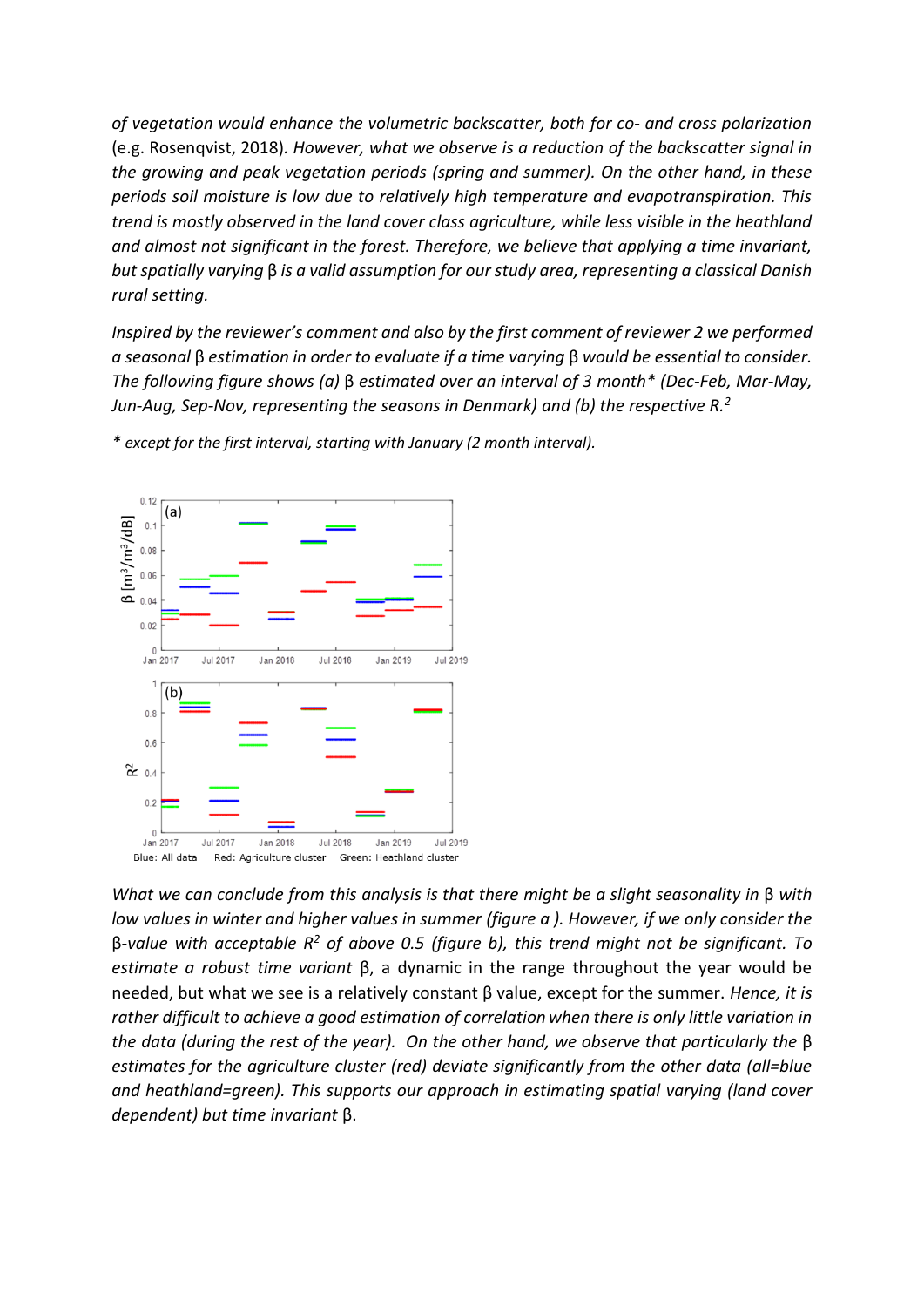*of vegetation would enhance the volumetric backscatter, both for co- and cross polarization*  (e.g. Rosenqvist, 2018)*. However, what we observe is a reduction of the backscatter signal in the growing and peak vegetation periods (spring and summer). On the other hand, in these periods soil moisture is low due to relatively high temperature and evapotranspiration. This trend is mostly observed in the land cover class agriculture, while less visible in the heathland and almost not significant in the forest. Therefore, we believe that applying a time invariant, but spatially varying* β *is a valid assumption for our study area, representing a classical Danish rural setting.*

*Inspired by the reviewer's comment and also by the first comment of reviewer 2 we performed a seasonal* β *estimation in order to evaluate if a time varying* β *would be essential to consider. The following figure shows (a)* β *estimated over an interval of 3 month\* (Dec-Feb, Mar-May, Jun-Aug, Sep-Nov, representing the seasons in Denmark) and (b) the respective R.<sup>2</sup>*



*\* except for the first interval, starting with January (2 month interval).*

*What we can conclude from this analysis is that there might be a slight seasonality in* β *with low values in winter and higher values in summer (figure a ). However, if we only consider the*  β*-value with acceptable R<sup>2</sup> of above 0.5 (figure b), this trend might not be significant. To estimate a robust time variant* β, a dynamic in the range throughout the year would be needed, but what we see is a relatively constant β value, except for the summer. *Hence, it is rather difficult to achieve a good estimation of correlationwhen there is only little variation in the data (during the rest of the year). On the other hand, we observe that particularly the* β *estimates for the agriculture cluster (red) deviate significantly from the other data (all=blue and heathland=green). This supports our approach in estimating spatial varying (land cover dependent) but time invariant* β.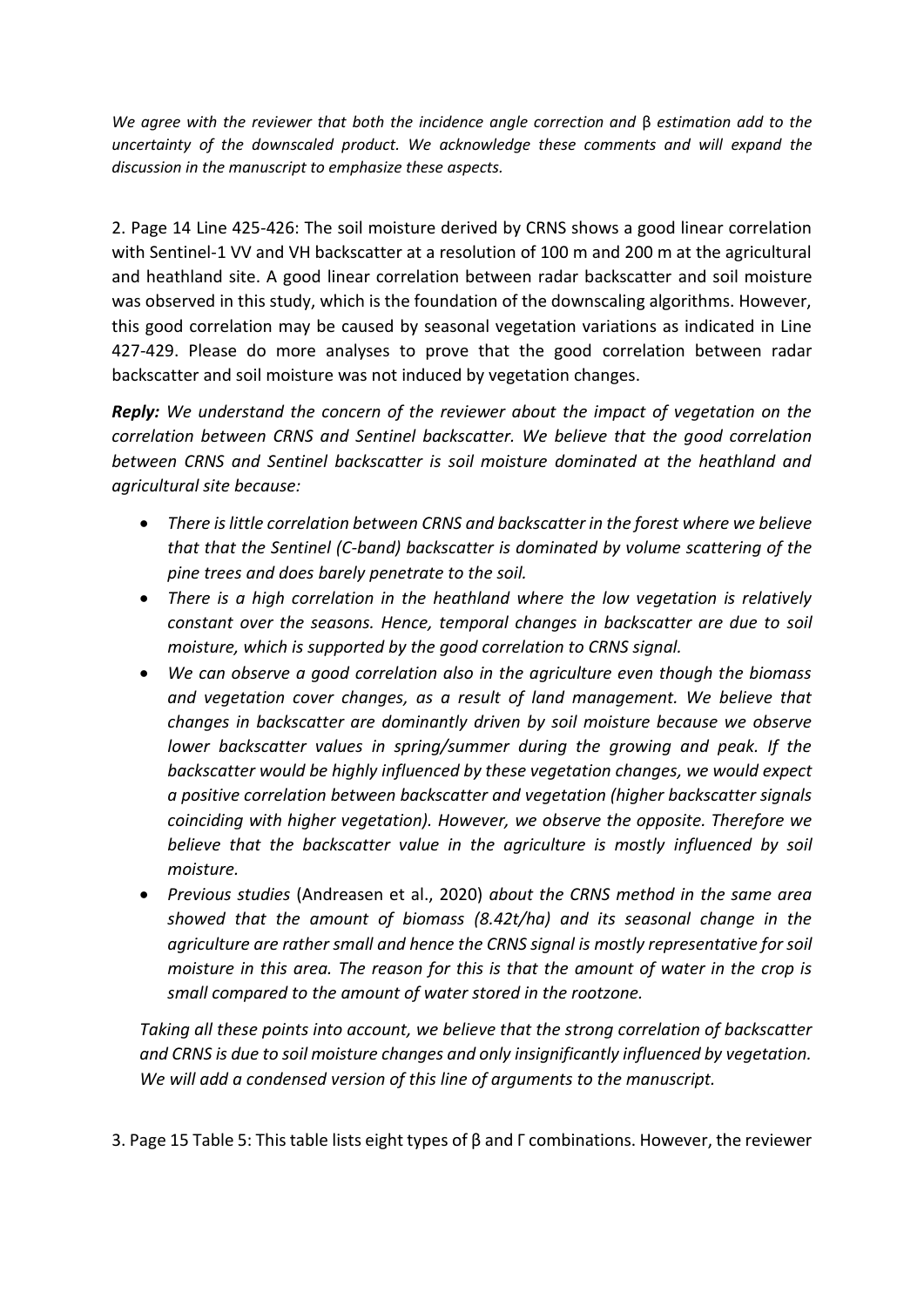*We agree with the reviewer that both the incidence angle correction and* β *estimation add to the uncertainty of the downscaled product. We acknowledge these comments and will expand the discussion in the manuscript to emphasize these aspects.* 

2. Page 14 Line 425-426: The soil moisture derived by CRNS shows a good linear correlation with Sentinel-1 VV and VH backscatter at a resolution of 100 m and 200 m at the agricultural and heathland site. A good linear correlation between radar backscatter and soil moisture was observed in this study, which is the foundation of the downscaling algorithms. However, this good correlation may be caused by seasonal vegetation variations as indicated in Line 427-429. Please do more analyses to prove that the good correlation between radar backscatter and soil moisture was not induced by vegetation changes.

*Reply: We understand the concern of the reviewer about the impact of vegetation on the correlation between CRNS and Sentinel backscatter. We believe that the good correlation between CRNS and Sentinel backscatter is soil moisture dominated at the heathland and agricultural site because:*

- *There is little correlation between CRNS and backscatter in the forest where we believe that that the Sentinel (C-band) backscatter is dominated by volume scattering of the pine trees and does barely penetrate to the soil.*
- *There is a high correlation in the heathland where the low vegetation is relatively constant over the seasons. Hence, temporal changes in backscatter are due to soil moisture, which is supported by the good correlation to CRNS signal.*
- *We can observe a good correlation also in the agriculture even though the biomass and vegetation cover changes, as a result of land management. We believe that changes in backscatter are dominantly driven by soil moisture because we observe lower backscatter values in spring/summer during the growing and peak. If the backscatter would be highly influenced by these vegetation changes, we would expect a positive correlation between backscatter and vegetation (higher backscatter signals coinciding with higher vegetation). However, we observe the opposite. Therefore we believe that the backscatter value in the agriculture is mostly influenced by soil moisture.*
- *Previous studies* (Andreasen et al., 2020) *about the CRNS method in the same area showed that the amount of biomass (8.42t/ha) and its seasonal change in the agriculture are rather small and hence the CRNS signal is mostly representative for soil moisture in this area. The reason for this is that the amount of water in the crop is small compared to the amount of water stored in the rootzone.*

*Taking all these points into account, we believe that the strong correlation of backscatter and CRNS is due to soil moisture changes and only insignificantly influenced by vegetation. We will add a condensed version of this line of arguments to the manuscript.* 

3. Page 15 Table 5: This table lists eight types of  $\beta$  and Γ combinations. However, the reviewer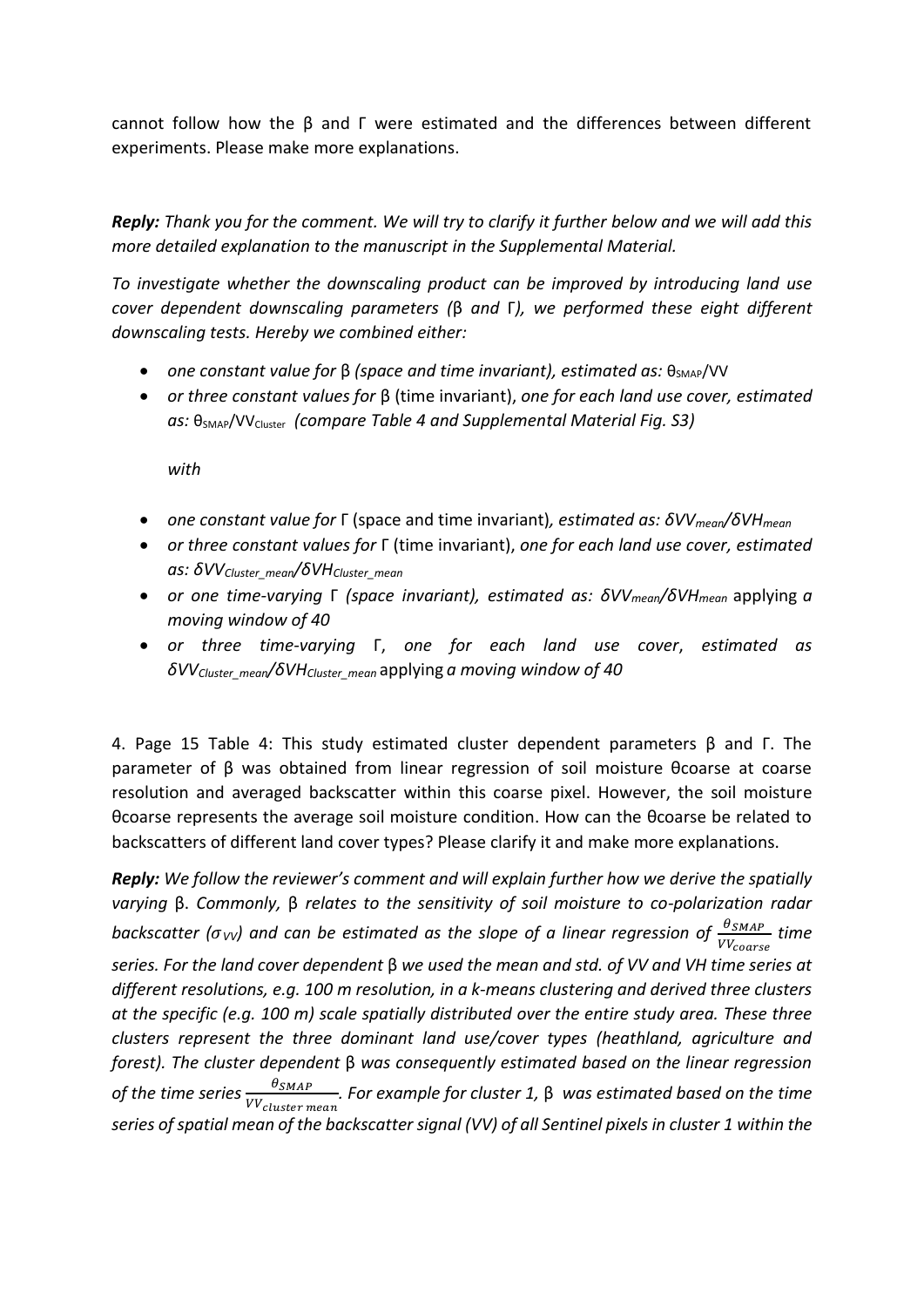cannot follow how the β and Γ were estimated and the differences between different experiments. Please make more explanations.

*Reply: Thank you for the comment. We will try to clarify it further below and we will add this more detailed explanation to the manuscript in the Supplemental Material.*

*To investigate whether the downscaling product can be improved by introducing land use cover dependent downscaling parameters (*β *and* Γ*), we performed these eight different downscaling tests. Hereby we combined either:*

- **•** one constant value for β (space and time invariant), estimated as:  $\theta_{SMAP}/VV$
- *or three constant values for* β (time invariant), *one for each land use cover, estimated*  as:  $\theta_{SMAP}/VV_{Cluster}$  (compare Table 4 and Supplemental Material Fig. S3)

*with*

- *one constant value for* Γ (space and time invariant)*, estimated as: δVVmean/δVHmean*
- *or three constant values for* Γ (time invariant), *one for each land use cover, estimated as: δVVCluster\_mean/δVHCluster\_mean*
- *or one time-varying* Γ *(space invariant), estimated as: δVVmean/δVHmean* applying *a moving window of 40*
- *or three time-varying* Γ, *one for each land use cover*, *estimated as δVVCluster\_mean/δVHCluster\_mean* applying *a moving window of 40*

4. Page 15 Table 4: This study estimated cluster dependent parameters β and Γ. The parameter of β was obtained from linear regression of soil moisture θcoarse at coarse resolution and averaged backscatter within this coarse pixel. However, the soil moisture θcoarse represents the average soil moisture condition. How can the θcoarse be related to backscatters of different land cover types? Please clarify it and make more explanations.

**Reply:** We follow the reviewer's comment and will explain further how we derive the spatially *varying* β. *Commonly,* β *relates to the sensitivity of soil moisture to co-polarization radar backscatter (* $\sigma_{VV}$ *) and can be estimated as the slope of a linear regression of*  $\frac{\theta_{SMAP}}{VV_{coarse}}$  *time series. For the land cover dependent* β *we used the mean and std. of VV and VH time series at different resolutions, e.g. 100 m resolution, in a k-means clustering and derived three clusters at the specific (e.g. 100 m) scale spatially distributed over the entire study area. These three clusters represent the three dominant land use/cover types (heathland, agriculture and forest). The cluster dependent* β *was consequently estimated based on the linear regression*  of the time series  $\frac{\theta_{SMAP}}{VV_{cluster\ mean}}$ . For example for cluster 1, β was estimated based on the time *series of spatial mean of the backscatter signal (VV) of all Sentinel pixels in cluster 1 within the*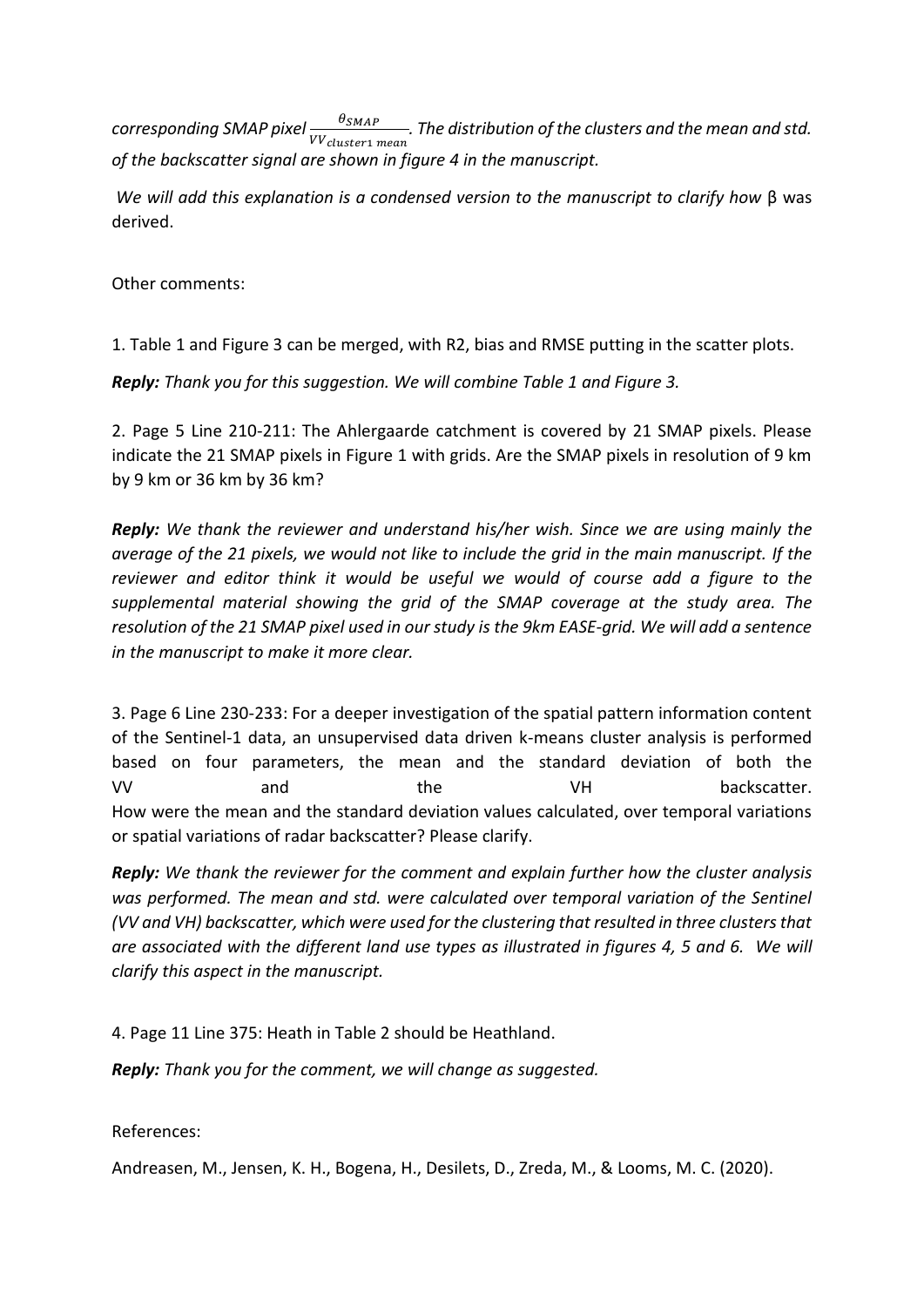$\dot{}$  *corresponding SMAP pixel*  $\frac{\theta_{SMAP}}{VV_{cluster1\ mean}}$ *. The distribution of the clusters and the mean and std. of the backscatter signal are shown in figure 4 in the manuscript.*

*We will add this explanation is a condensed version to the manuscript to clarify how* β was derived.

Other comments:

1. Table 1 and Figure 3 can be merged, with R2, bias and RMSE putting in the scatter plots.

*Reply: Thank you for this suggestion. We will combine Table 1 and Figure 3.*

2. Page 5 Line 210-211: The Ahlergaarde catchment is covered by 21 SMAP pixels. Please indicate the 21 SMAP pixels in Figure 1 with grids. Are the SMAP pixels in resolution of 9 km by 9 km or 36 km by 36 km?

*Reply: We thank the reviewer and understand his/her wish. Since we are using mainly the average of the 21 pixels, we would not like to include the grid in the main manuscript. If the reviewer and editor think it would be useful we would of course add a figure to the supplemental material showing the grid of the SMAP coverage at the study area. The resolution of the 21 SMAP pixel used in our study is the 9km EASE-grid. We will add a sentence in the manuscript to make it more clear.*

3. Page 6 Line 230-233: For a deeper investigation of the spatial pattern information content of the Sentinel-1 data, an unsupervised data driven k-means cluster analysis is performed based on four parameters, the mean and the standard deviation of both the VV and the VH backscatter. How were the mean and the standard deviation values calculated, over temporal variations or spatial variations of radar backscatter? Please clarify.

*Reply: We thank the reviewer for the comment and explain further how the cluster analysis*  was performed. The mean and std. were calculated over temporal variation of the Sentinel *(VV and VH) backscatter, which were used for the clustering that resulted in three clusters that are associated with the different land use types as illustrated in figures 4, 5 and 6. We will clarify this aspect in the manuscript.*

4. Page 11 Line 375: Heath in Table 2 should be Heathland.

*Reply: Thank you for the comment, we will change as suggested.*

References:

Andreasen, M., Jensen, K. H., Bogena, H., Desilets, D., Zreda, M., & Looms, M. C. (2020).